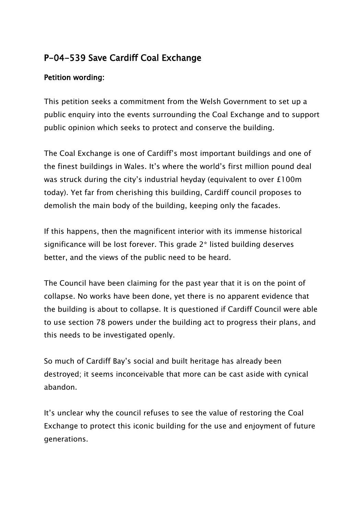## **P-04-539 Save Cardiff Coal Exchange**

## **Petition wording:**

This petition seeks a commitment from the Welsh Government to set up a public enquiry into the events surrounding the Coal Exchange and to support public opinion which seeks to protect and conserve the building.

The Coal Exchange is one of Cardiff's most important buildings and one of the finest buildings in Wales. It's where the world's first million pound deal was struck during the city's industrial heyday (equivalent to over £100m today). Yet far from cherishing this building, Cardiff council proposes to demolish the main body of the building, keeping only the facades.

If this happens, then the magnificent interior with its immense historical significance will be lost forever. This grade 2\* listed building deserves better, and the views of the public need to be heard.

The Council have been claiming for the past year that it is on the point of collapse. No works have been done, yet there is no apparent evidence that the building is about to collapse. It is questioned if Cardiff Council were able to use section 78 powers under the building act to progress their plans, and this needs to be investigated openly.

So much of Cardiff Bay's social and built heritage has already been destroyed; it seems inconceivable that more can be cast aside with cynical abandon.

It's unclear why the council refuses to see the value of restoring the Coal Exchange to protect this iconic building for the use and enjoyment of future generations.